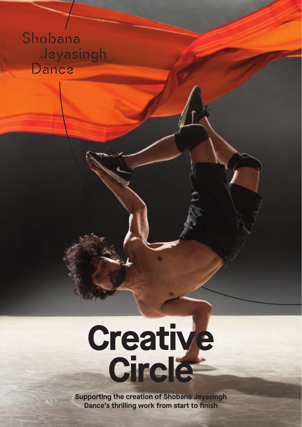# Shobana Jeyasingh Dance

# Creative<br>Circle

**Supporting the creation of Shobana Jeyasingh Dance's thrilling work from start to finish**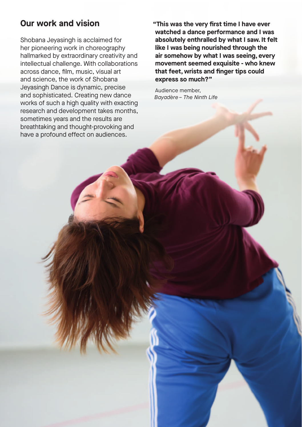### **Our work and vision**

Shobana Jeyasingh is acclaimed for her pioneering work in choreography hallmarked by extraordinary creativity and intellectual challenge. With collaborations across dance, film, music, visualart and science, the work of Shobana Jeyasingh Dance is dynamic, precise and sophisticated. Creating new dance works of such a high quality with exacting research and development takes months, sometimes years and the results are breathtaking and thought-provoking and have a profound effect on audiences.

**"This was the very first time I have ever watched a dance performance and I was absolutely enthralled by what I saw.It felt like I was being nourished through the air somehow by what I was seeing, every movement seemed exquisite - who knew that feet,wrists and finger tips could express so much?"**

Audience member, *Bayadère– The Ninth Life*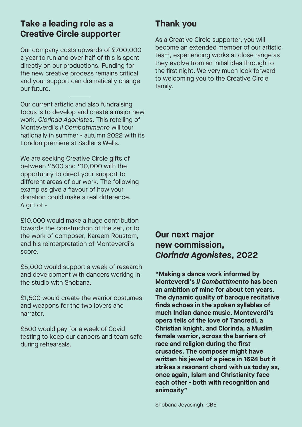### **Take a leading role as a Creative Circle supporter**

Our company costs upwards of £700,000 a year to run and over half of this is spent directly on our productions. Funding for the new creative process remains critical and your support can dramatically change our future.

Our current artistic and also fundraising focus is to develop and create a major new work, *Clorinda Agonistes*. This retelling of Monteverdi's *Il Combattimento* will tour nationally in summer - autumn 2022 with its London premiere at Sadler's Wells.

We are seeking Creative Circle gifts of between £500 and £10,000 with the opportunity to direct your support to different areas of our work. The following examples give a flavour of how your donation could make a real difference. A gift of -

£10,000 would make a huge contribution towards the construction of the set, or to the work of composer, Kareem Roustom, and his reinterpretation of Monteverdi's score.

£5,000 would support a week of research and development with dancers working in the studio with Shobana.

£1,500 would create the warrior costumes and weapons for the two lovers and narrator.

£500 would pay for a week of Covid testing to keep our dancers and team safe during rehearsals.

## **Thank you**

As a Creative Circle supporter, you will become an extended member of our artistic team, experiencing works at close range as they evolve from an initial idea through to the first night. We very much look forward to welcoming you to the Creative Circle family.

### **Our next major new commission,** *Clorinda Agonistes***, 2022**

**"Making a dance work informed by Monteverdi's** *Il Combattimento* **has been an ambition of mine for about ten years. The dynamic quality of baroque recitative finds echoes in the spoken syllables of much Indian dance music. Monteverdi's opera tells of the love of Tancredi, a Christian knight, and Clorinda, a Muslim female warrior, across the barriers of race and religion during the first crusades. The composer might have written his jewel of a piece in 1624 but it strikes a resonant chord with us today as, once again, Islam and Christianity face each other - both with recognition and animosity"**